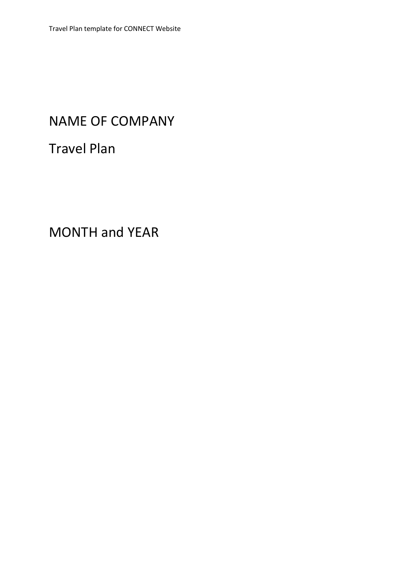# NAME OF COMPANY

Travel Plan

MONTH and YEAR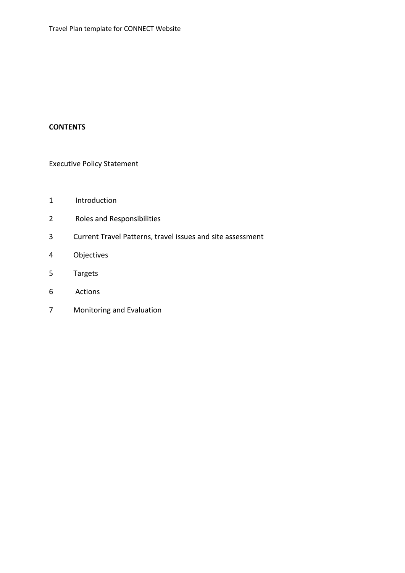## **CONTENTS**

Executive Policy Statement

- 1 Introduction
- 2 Roles and Responsibilities
- 3 Current Travel Patterns, travel issues and site assessment
- 4 Objectives
- 5 Targets
- 6 Actions
- 7 Monitoring and Evaluation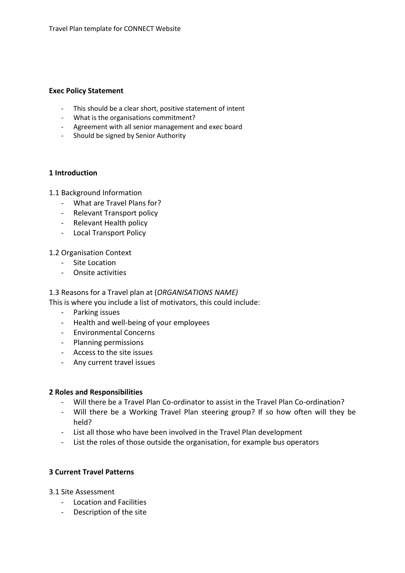#### **Exec Policy Statement**

- This should be a clear short, positive statement of intent
- What is the organisations commitment?
- Agreement with all senior management and exec board
- Should be signed by Senior Authority

### **1 Introduction**

### 1.1 Background Information

- What are Travel Plans for?
- Relevant Transport policy
- Relevant Health policy
- Local Transport Policy

### 1.2 Organisation Context

- Site Location
- Onsite activities

### 1.3 Reasons for a Travel plan at (*ORGANISATIONS NAME)*

This is where you include a list of motivators, this could include:

- Parking issues
- Health and well-being of your employees
- Environmental Concerns
- Planning permissions
- Access to the site issues
- Any current travel issues

### **2 Roles and Responsibilities**

- Will there be a Travel Plan Co-ordinator to assist in the Travel Plan Co-ordination?
- Will there be a Working Travel Plan steering group? If so how often will they be held?
- List all those who have been involved in the Travel Plan development
- List the roles of those outside the organisation, for example bus operators

## **3 Current Travel Patterns**

- 3.1 Site Assessment
	- Location and Facilities
	- Description of the site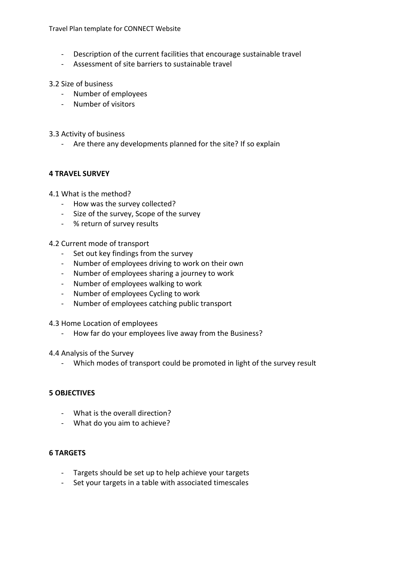Travel Plan template for CONNECT Website

- Description of the current facilities that encourage sustainable travel
- Assessment of site barriers to sustainable travel

### 3.2 Size of business

- Number of employees
- Number of visitors
- 3.3 Activity of business
	- Are there any developments planned for the site? If so explain

### **4 TRAVEL SURVEY**

- 4.1 What is the method?
	- How was the survey collected?
	- Size of the survey, Scope of the survey
	- % return of survey results

### 4.2 Current mode of transport

- Set out key findings from the survey
- Number of employees driving to work on their own
- Number of employees sharing a journey to work
- Number of employees walking to work
- Number of employees Cycling to work
- Number of employees catching public transport
- 4.3 Home Location of employees
	- How far do your employees live away from the Business?

### 4.4 Analysis of the Survey

- Which modes of transport could be promoted in light of the survey result

### **5 OBJECTIVES**

- What is the overall direction?
- What do you aim to achieve?

### **6 TARGETS**

- Targets should be set up to help achieve your targets
- Set your targets in a table with associated timescales